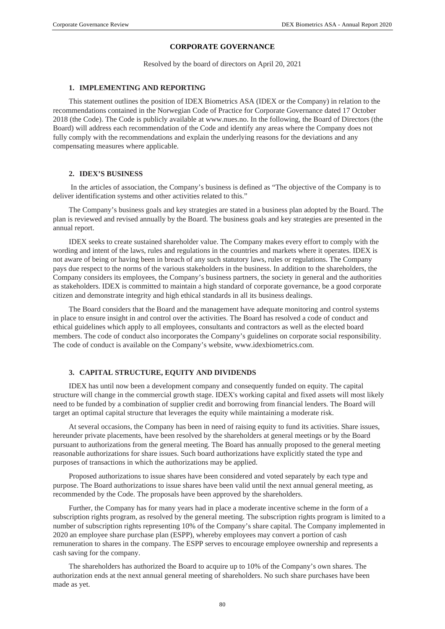# **CORPORATE GOVERNANCE**

Resolved by the board of directors on April 20, 2021

## **1. IMPLEMENTING AND REPORTING**

This statement outlines the position of IDEX Biometrics ASA (IDEX or the Company) in relation to the recommendations contained in the Norwegian Code of Practice for Corporate Governance dated 17 October 2018 (the Code). The Code is publicly available at www.nues.no. In the following, the Board of Directors (the Board) will address each recommendation of the Code and identify any areas where the Company does not fully comply with the recommendations and explain the underlying reasons for the deviations and any compensating measures where applicable.

#### **2. IDEX'S BUSINESS**

 In the articles of association, the Company's business is defined as "The objective of the Company is to deliver identification systems and other activities related to this."

The Company's business goals and key strategies are stated in a business plan adopted by the Board. The plan is reviewed and revised annually by the Board. The business goals and key strategies are presented in the annual report.

IDEX seeks to create sustained shareholder value. The Company makes every effort to comply with the wording and intent of the laws, rules and regulations in the countries and markets where it operates. IDEX is not aware of being or having been in breach of any such statutory laws, rules or regulations. The Company pays due respect to the norms of the various stakeholders in the business. In addition to the shareholders, the Company considers its employees, the Company's business partners, the society in general and the authorities as stakeholders. IDEX is committed to maintain a high standard of corporate governance, be a good corporate citizen and demonstrate integrity and high ethical standards in all its business dealings.

The Board considers that the Board and the management have adequate monitoring and control systems in place to ensure insight in and control over the activities. The Board has resolved a code of conduct and ethical guidelines which apply to all employees, consultants and contractors as well as the elected board members. The code of conduct also incorporates the Company's guidelines on corporate social responsibility. The code of conduct is available on the Company's website, www.idexbiometrics.com.

#### **3. CAPITAL STRUCTURE, EQUITY AND DIVIDENDS**

IDEX has until now been a development company and consequently funded on equity. The capital structure will change in the commercial growth stage. IDEX's working capital and fixed assets will most likely need to be funded by a combination of supplier credit and borrowing from financial lenders. The Board will target an optimal capital structure that leverages the equity while maintaining a moderate risk.

At several occasions, the Company has been in need of raising equity to fund its activities. Share issues, hereunder private placements, have been resolved by the shareholders at general meetings or by the Board pursuant to authorizations from the general meeting. The Board has annually proposed to the general meeting reasonable authorizations for share issues. Such board authorizations have explicitly stated the type and purposes of transactions in which the authorizations may be applied.

Proposed authorizations to issue shares have been considered and voted separately by each type and purpose. The Board authorizations to issue shares have been valid until the next annual general meeting, as recommended by the Code. The proposals have been approved by the shareholders.

Further, the Company has for many years had in place a moderate incentive scheme in the form of a subscription rights program, as resolved by the general meeting. The subscription rights program is limited to a number of subscription rights representing 10% of the Company's share capital. The Company implemented in 2020 an employee share purchase plan (ESPP), whereby employees may convert a portion of cash remuneration to shares in the company. The ESPP serves to encourage employee ownership and represents a cash saving for the company.

The shareholders has authorized the Board to acquire up to 10% of the Company's own shares. The authorization ends at the next annual general meeting of shareholders. No such share purchases have been made as yet.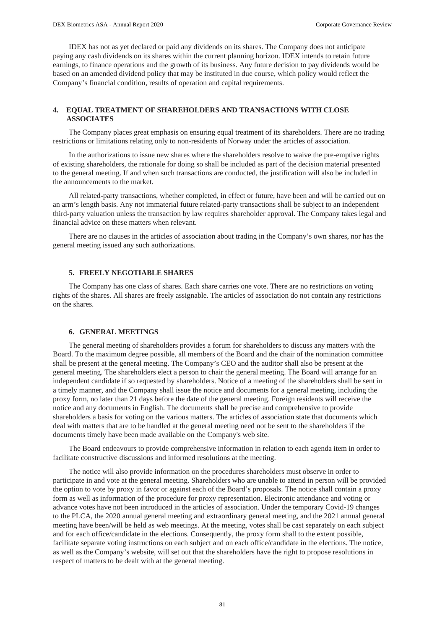IDEX has not as yet declared or paid any dividends on its shares. The Company does not anticipate paying any cash dividends on its shares within the current planning horizon. IDEX intends to retain future earnings, to finance operations and the growth of its business. Any future decision to pay dividends would be based on an amended dividend policy that may be instituted in due course, which policy would reflect the Company's financial condition, results of operation and capital requirements.

# **4. EQUAL TREATMENT OF SHAREHOLDERS AND TRANSACTIONS WITH CLOSE ASSOCIATES**

The Company places great emphasis on ensuring equal treatment of its shareholders. There are no trading restrictions or limitations relating only to non-residents of Norway under the articles of association.

In the authorizations to issue new shares where the shareholders resolve to waive the pre-emptive rights of existing shareholders, the rationale for doing so shall be included as part of the decision material presented to the general meeting. If and when such transactions are conducted, the justification will also be included in the announcements to the market.

All related‐party transactions, whether completed, in effect or future, have been and will be carried out on an arm's length basis. Any not immaterial future related-party transactions shall be subject to an independent third-party valuation unless the transaction by law requires shareholder approval. The Company takes legal and financial advice on these matters when relevant.

There are no clauses in the articles of association about trading in the Company's own shares, nor has the general meeting issued any such authorizations.

## **5. FREELY NEGOTIABLE SHARES**

The Company has one class of shares. Each share carries one vote. There are no restrictions on voting rights of the shares. All shares are freely assignable. The articles of association do not contain any restrictions on the shares.

## **6. GENERAL MEETINGS**

The general meeting of shareholders provides a forum for shareholders to discuss any matters with the Board. To the maximum degree possible, all members of the Board and the chair of the nomination committee shall be present at the general meeting. The Company's CEO and the auditor shall also be present at the general meeting. The shareholders elect a person to chair the general meeting. The Board will arrange for an independent candidate if so requested by shareholders. Notice of a meeting of the shareholders shall be sent in a timely manner, and the Company shall issue the notice and documents for a general meeting, including the proxy form, no later than 21 days before the date of the general meeting. Foreign residents will receive the notice and any documents in English. The documents shall be precise and comprehensive to provide shareholders a basis for voting on the various matters. The articles of association state that documents which deal with matters that are to be handled at the general meeting need not be sent to the shareholders if the documents timely have been made available on the Company's web site.

The Board endeavours to provide comprehensive information in relation to each agenda item in order to facilitate constructive discussions and informed resolutions at the meeting.

The notice will also provide information on the procedures shareholders must observe in order to participate in and vote at the general meeting. Shareholders who are unable to attend in person will be provided the option to vote by proxy in favor or against each of the Board's proposals. The notice shall contain a proxy form as well as information of the procedure for proxy representation. Electronic attendance and voting or advance votes have not been introduced in the articles of association. Under the temporary Covid-19 changes to the PLCA, the 2020 annual general meeting and extraordinary general meeting, and the 2021 annual general meeting have been/will be held as web meetings. At the meeting, votes shall be cast separately on each subject and for each office/candidate in the elections. Consequently, the proxy form shall to the extent possible, facilitate separate voting instructions on each subject and on each office/candidate in the elections. The notice, as well as the Company's website, will set out that the shareholders have the right to propose resolutions in respect of matters to be dealt with at the general meeting.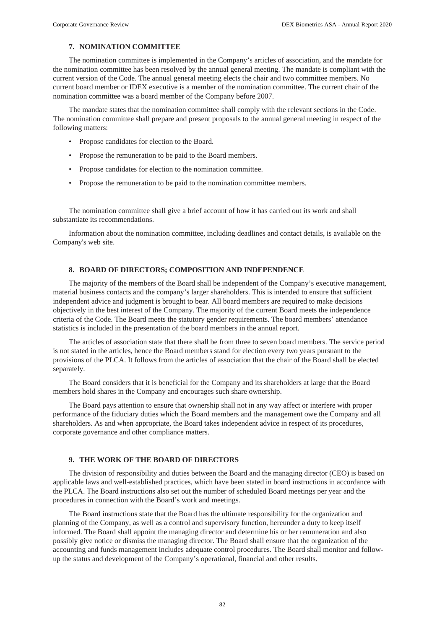# **7. NOMINATION COMMITTEE**

The nomination committee is implemented in the Company's articles of association, and the mandate for the nomination committee has been resolved by the annual general meeting. The mandate is compliant with the current version of the Code. The annual general meeting elects the chair and two committee members. No current board member or IDEX executive is a member of the nomination committee. The current chair of the nomination committee was a board member of the Company before 2007.

The mandate states that the nomination committee shall comply with the relevant sections in the Code. The nomination committee shall prepare and present proposals to the annual general meeting in respect of the following matters:

- Propose candidates for election to the Board.
- Propose the remuneration to be paid to the Board members.
- Propose candidates for election to the nomination committee.
- Propose the remuneration to be paid to the nomination committee members.

The nomination committee shall give a brief account of how it has carried out its work and shall substantiate its recommendations.

Information about the nomination committee, including deadlines and contact details, is available on the Company's web site.

## **8. BOARD OF DIRECTORS; COMPOSITION AND INDEPENDENCE**

The majority of the members of the Board shall be independent of the Company's executive management, material business contacts and the company's larger shareholders. This is intended to ensure that sufficient independent advice and judgment is brought to bear. All board members are required to make decisions objectively in the best interest of the Company. The majority of the current Board meets the independence criteria of the Code. The Board meets the statutory gender requirements. The board members' attendance statistics is included in the presentation of the board members in the annual report.

The articles of association state that there shall be from three to seven board members. The service period is not stated in the articles, hence the Board members stand for election every two years pursuant to the provisions of the PLCA. It follows from the articles of association that the chair of the Board shall be elected separately.

The Board considers that it is beneficial for the Company and its shareholders at large that the Board members hold shares in the Company and encourages such share ownership.

The Board pays attention to ensure that ownership shall not in any way affect or interfere with proper performance of the fiduciary duties which the Board members and the management owe the Company and all shareholders. As and when appropriate, the Board takes independent advice in respect of its procedures, corporate governance and other compliance matters.

## **9. THE WORK OF THE BOARD OF DIRECTORS**

The division of responsibility and duties between the Board and the managing director (CEO) is based on applicable laws and well‐established practices, which have been stated in board instructions in accordance with the PLCA. The Board instructions also set out the number of scheduled Board meetings per year and the procedures in connection with the Board's work and meetings.

The Board instructions state that the Board has the ultimate responsibility for the organization and planning of the Company, as well as a control and supervisory function, hereunder a duty to keep itself informed. The Board shall appoint the managing director and determine his or her remuneration and also possibly give notice or dismiss the managing director. The Board shall ensure that the organization of the accounting and funds management includes adequate control procedures. The Board shall monitor and followup the status and development of the Company's operational, financial and other results.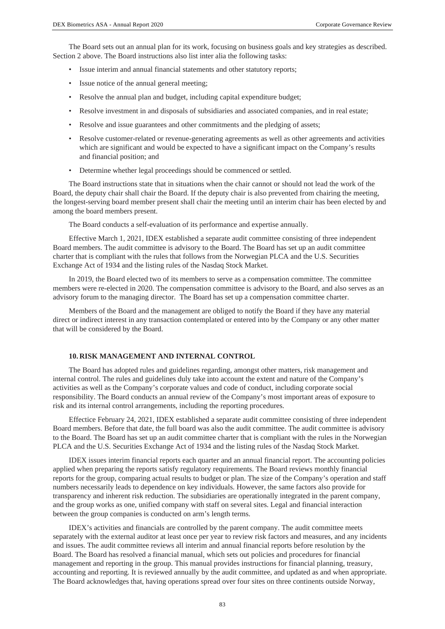The Board sets out an annual plan for its work, focusing on business goals and key strategies as described. Section 2 above. The Board instructions also list inter alia the following tasks:

- Issue interim and annual financial statements and other statutory reports;
- Issue notice of the annual general meeting;
- Resolve the annual plan and budget, including capital expenditure budget;
- Resolve investment in and disposals of subsidiaries and associated companies, and in real estate;
- Resolve and issue guarantees and other commitments and the pledging of assets;
- Resolve customer-related or revenue-generating agreements as well as other agreements and activities which are significant and would be expected to have a significant impact on the Company's results and financial position; and
- Determine whether legal proceedings should be commenced or settled.

The Board instructions state that in situations when the chair cannot or should not lead the work of the Board, the deputy chair shall chair the Board. If the deputy chair is also prevented from chairing the meeting, the longest-serving board member present shall chair the meeting until an interim chair has been elected by and among the board members present.

The Board conducts a self-evaluation of its performance and expertise annually.

Effective March 1, 2021, IDEX established a separate audit committee consisting of three independent Board members. The audit committee is advisory to the Board. The Board has set up an audit committee charter that is compliant with the rules that follows from the Norwegian PLCA and the U.S. Securities Exchange Act of 1934 and the listing rules of the Nasdaq Stock Market.

In 2019, the Board elected two of its members to serve as a compensation committee. The committee members were re-elected in 2020. The compensation committee is advisory to the Board, and also serves as an advisory forum to the managing director. The Board has set up a compensation committee charter.

Members of the Board and the management are obliged to notify the Board if they have any material direct or indirect interest in any transaction contemplated or entered into by the Company or any other matter that will be considered by the Board.

## **10. RISK MANAGEMENT AND INTERNAL CONTROL**

The Board has adopted rules and guidelines regarding, amongst other matters, risk management and internal control. The rules and guidelines duly take into account the extent and nature of the Company's activities as well as the Company's corporate values and code of conduct, including corporate social responsibility. The Board conducts an annual review of the Company's most important areas of exposure to risk and its internal control arrangements, including the reporting procedures.

Effectice February 24, 2021, IDEX established a separate audit committee consisting of three independent Board members. Before that date, the full board was also the audit committee. The audit committee is advisory to the Board. The Board has set up an audit committee charter that is compliant with the rules in the Norwegian PLCA and the U.S. Securities Exchange Act of 1934 and the listing rules of the Nasdaq Stock Market.

IDEX issues interim financial reports each quarter and an annual financial report. The accounting policies applied when preparing the reports satisfy regulatory requirements. The Board reviews monthly financial reports for the group, comparing actual results to budget or plan. The size of the Company's operation and staff numbers necessarily leads to dependence on key individuals. However, the same factors also provide for transparency and inherent risk reduction. The subsidiaries are operationally integrated in the parent company, and the group works as one, unified company with staff on several sites. Legal and financial interaction between the group companies is conducted on arm's length terms.

IDEX's activities and financials are controlled by the parent company. The audit committee meets separately with the external auditor at least once per year to review risk factors and measures, and any incidents and issues. The audit committee reviews all interim and annual financial reports before resolution by the Board. The Board has resolved a financial manual, which sets out policies and procedures for financial management and reporting in the group. This manual provides instructions for financial planning, treasury, accounting and reporting. It is reviewed annually by the audit committee, and updated as and when appropriate. The Board acknowledges that, having operations spread over four sites on three continents outside Norway,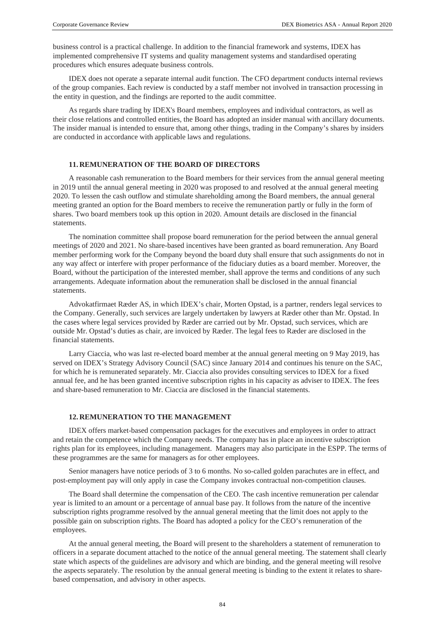business control is a practical challenge. In addition to the financial framework and systems, IDEX has implemented comprehensive IT systems and quality management systems and standardised operating procedures which ensures adequate business controls.

IDEX does not operate a separate internal audit function. The CFO department conducts internal reviews of the group companies. Each review is conducted by a staff member not involved in transaction processing in the entity in question, and the findings are reported to the audit committee.

As regards share trading by IDEX's Board members, employees and individual contractors, as well as their close relations and controlled entities, the Board has adopted an insider manual with ancillary documents. The insider manual is intended to ensure that, among other things, trading in the Company's shares by insiders are conducted in accordance with applicable laws and regulations.

## **11. REMUNERATION OF THE BOARD OF DIRECTORS**

A reasonable cash remuneration to the Board members for their services from the annual general meeting in 2019 until the annual general meeting in 2020 was proposed to and resolved at the annual general meeting 2020. To lessen the cash outflow and stimulate shareholding among the Board members, the annual general meeting granted an option for the Board members to receive the remuneration partly or fully in the form of shares. Two board members took up this option in 2020. Amount details are disclosed in the financial statements.

The nomination committee shall propose board remuneration for the period between the annual general meetings of 2020 and 2021. No share-based incentives have been granted as board remuneration. Any Board member performing work for the Company beyond the board duty shall ensure that such assignments do not in any way affect or interfere with proper performance of the fiduciary duties as a board member. Moreover, the Board, without the participation of the interested member, shall approve the terms and conditions of any such arrangements. Adequate information about the remuneration shall be disclosed in the annual financial statements.

Advokatfirmaet Ræder AS, in which IDEX's chair, Morten Opstad, is a partner, renders legal services to the Company. Generally, such services are largely undertaken by lawyers at Ræder other than Mr. Opstad. In the cases where legal services provided by Ræder are carried out by Mr. Opstad, such services, which are outside Mr. Opstad's duties as chair, are invoiced by Ræder. The legal fees to Ræder are disclosed in the financial statements.

Larry Ciaccia, who was last re-elected board member at the annual general meeting on 9 May 2019, has served on IDEX's Strategy Advisory Council (SAC) since January 2014 and continues his tenure on the SAC, for which he is remunerated separately. Mr. Ciaccia also provides consulting services to IDEX for a fixed annual fee, and he has been granted incentive subscription rights in his capacity as adviser to IDEX. The fees and share-based remuneration to Mr. Ciaccia are disclosed in the financial statements.

## **12. REMUNERATION TO THE MANAGEMENT**

IDEX offers market‐based compensation packages for the executives and employees in order to attract and retain the competence which the Company needs. The company has in place an incentive subscription rights plan for its employees, including management. Managers may also participate in the ESPP. The terms of these programmes are the same for managers as for other employees.

Senior managers have notice periods of 3 to 6 months. No so-called golden parachutes are in effect, and post-employment pay will only apply in case the Company invokes contractual non-competition clauses.

The Board shall determine the compensation of the CEO. The cash incentive remuneration per calendar year is limited to an amount or a percentage of annual base pay. It follows from the nature of the incentive subscription rights programme resolved by the annual general meeting that the limit does not apply to the possible gain on subscription rights. The Board has adopted a policy for the CEO's remuneration of the employees.

At the annual general meeting, the Board will present to the shareholders a statement of remuneration to officers in a separate document attached to the notice of the annual general meeting. The statement shall clearly state which aspects of the guidelines are advisory and which are binding, and the general meeting will resolve the aspects separately. The resolution by the annual general meeting is binding to the extent it relates to sharebased compensation, and advisory in other aspects.